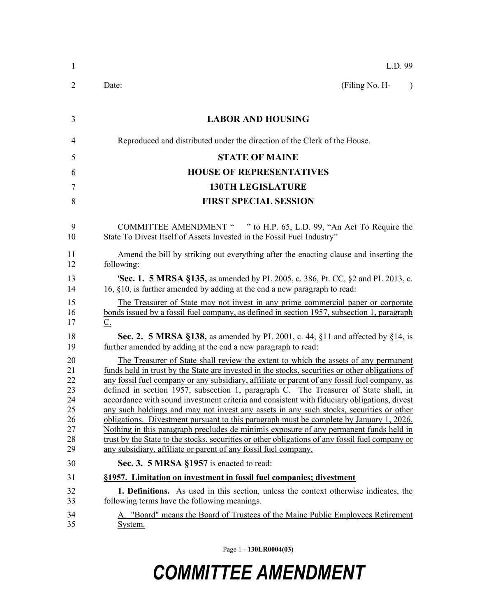| $\mathbf{1}$                                             | L.D. 99                                                                                                                                                                                                                                                                                                                                                                                                                                                                                                                                                                                                                                                                                                                                                                                                                                                                                                                              |  |  |
|----------------------------------------------------------|--------------------------------------------------------------------------------------------------------------------------------------------------------------------------------------------------------------------------------------------------------------------------------------------------------------------------------------------------------------------------------------------------------------------------------------------------------------------------------------------------------------------------------------------------------------------------------------------------------------------------------------------------------------------------------------------------------------------------------------------------------------------------------------------------------------------------------------------------------------------------------------------------------------------------------------|--|--|
| 2                                                        | (Filing No. H-<br>Date:<br>$\lambda$                                                                                                                                                                                                                                                                                                                                                                                                                                                                                                                                                                                                                                                                                                                                                                                                                                                                                                 |  |  |
| 3                                                        | <b>LABOR AND HOUSING</b>                                                                                                                                                                                                                                                                                                                                                                                                                                                                                                                                                                                                                                                                                                                                                                                                                                                                                                             |  |  |
| 4                                                        | Reproduced and distributed under the direction of the Clerk of the House.                                                                                                                                                                                                                                                                                                                                                                                                                                                                                                                                                                                                                                                                                                                                                                                                                                                            |  |  |
| 5                                                        | <b>STATE OF MAINE</b>                                                                                                                                                                                                                                                                                                                                                                                                                                                                                                                                                                                                                                                                                                                                                                                                                                                                                                                |  |  |
| 6                                                        | <b>HOUSE OF REPRESENTATIVES</b>                                                                                                                                                                                                                                                                                                                                                                                                                                                                                                                                                                                                                                                                                                                                                                                                                                                                                                      |  |  |
| 7                                                        | <b>130TH LEGISLATURE</b>                                                                                                                                                                                                                                                                                                                                                                                                                                                                                                                                                                                                                                                                                                                                                                                                                                                                                                             |  |  |
| 8                                                        | <b>FIRST SPECIAL SESSION</b>                                                                                                                                                                                                                                                                                                                                                                                                                                                                                                                                                                                                                                                                                                                                                                                                                                                                                                         |  |  |
|                                                          |                                                                                                                                                                                                                                                                                                                                                                                                                                                                                                                                                                                                                                                                                                                                                                                                                                                                                                                                      |  |  |
| 9<br>10                                                  | COMMITTEE AMENDMENT " " to H.P. 65, L.D. 99, "An Act To Require the<br>State To Divest Itself of Assets Invested in the Fossil Fuel Industry"                                                                                                                                                                                                                                                                                                                                                                                                                                                                                                                                                                                                                                                                                                                                                                                        |  |  |
| 11<br>12                                                 | Amend the bill by striking out everything after the enacting clause and inserting the<br>following:                                                                                                                                                                                                                                                                                                                                                                                                                                                                                                                                                                                                                                                                                                                                                                                                                                  |  |  |
| 13<br>14                                                 | <b>Sec. 1. 5 MRSA §135, as amended by PL 2005, c. 386, Pt. CC, §2 and PL 2013, c.</b><br>16, §10, is further amended by adding at the end a new paragraph to read:                                                                                                                                                                                                                                                                                                                                                                                                                                                                                                                                                                                                                                                                                                                                                                   |  |  |
| 15<br>16<br>17                                           | The Treasurer of State may not invest in any prime commercial paper or corporate<br>bonds issued by a fossil fuel company, as defined in section 1957, subsection 1, paragraph<br>$\underline{C}$ .                                                                                                                                                                                                                                                                                                                                                                                                                                                                                                                                                                                                                                                                                                                                  |  |  |
| 18<br>19                                                 | Sec. 2. 5 MRSA §138, as amended by PL 2001, c. 44, §11 and affected by §14, is<br>further amended by adding at the end a new paragraph to read:                                                                                                                                                                                                                                                                                                                                                                                                                                                                                                                                                                                                                                                                                                                                                                                      |  |  |
| 20<br>21<br>22<br>23<br>24<br>25<br>26<br>27<br>28<br>29 | The Treasurer of State shall review the extent to which the assets of any permanent<br>funds held in trust by the State are invested in the stocks, securities or other obligations of<br>any fossil fuel company or any subsidiary, affiliate or parent of any fossil fuel company, as<br>defined in section 1957, subsection 1, paragraph C. The Treasurer of State shall, in<br>accordance with sound investment criteria and consistent with fiduciary obligations, divest<br>any such holdings and may not invest any assets in any such stocks, securities or other<br>obligations. Divestment pursuant to this paragraph must be complete by January 1, 2026.<br>Nothing in this paragraph precludes de minimis exposure of any permanent funds held in<br>trust by the State to the stocks, securities or other obligations of any fossil fuel company or<br>any subsidiary, affiliate or parent of any fossil fuel company. |  |  |
| 30                                                       | Sec. 3. 5 MRSA §1957 is enacted to read:                                                                                                                                                                                                                                                                                                                                                                                                                                                                                                                                                                                                                                                                                                                                                                                                                                                                                             |  |  |
| 31                                                       | §1957. Limitation on investment in fossil fuel companies; divestment                                                                                                                                                                                                                                                                                                                                                                                                                                                                                                                                                                                                                                                                                                                                                                                                                                                                 |  |  |
| 32<br>33                                                 | <b>1. Definitions.</b> As used in this section, unless the context otherwise indicates, the<br>following terms have the following meanings.                                                                                                                                                                                                                                                                                                                                                                                                                                                                                                                                                                                                                                                                                                                                                                                          |  |  |
| 34<br>35                                                 | A. "Board" means the Board of Trustees of the Maine Public Employees Retirement<br>System.                                                                                                                                                                                                                                                                                                                                                                                                                                                                                                                                                                                                                                                                                                                                                                                                                                           |  |  |

Page 1 - **130LR0004(03)**

# *COMMITTEE AMENDMENT*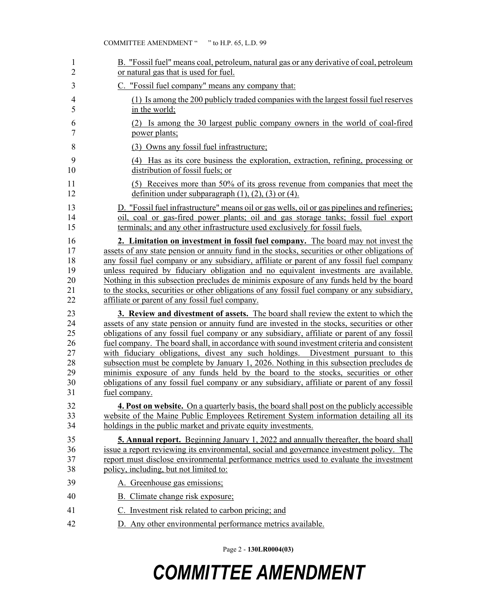| 1              | B. "Fossil fuel" means coal, petroleum, natural gas or any derivative of coal, petroleum      |
|----------------|-----------------------------------------------------------------------------------------------|
| $\overline{2}$ | or natural gas that is used for fuel.                                                         |
| 3              | C. "Fossil fuel company" means any company that:                                              |
| $\overline{4}$ | (1) Is among the 200 publicly traded companies with the largest fossil fuel reserves          |
| 5              | in the world;                                                                                 |
| 6              | (2) Is among the 30 largest public company owners in the world of coal-fired                  |
| $\overline{7}$ | power plants;                                                                                 |
| 8              | (3) Owns any fossil fuel infrastructure;                                                      |
| 9              | (4) Has as its core business the exploration, extraction, refining, processing or             |
| 10             | distribution of fossil fuels; or                                                              |
| 11             | (5) Receives more than 50% of its gross revenue from companies that meet the                  |
| 12             | definition under subparagraph $(1)$ , $(2)$ , $(3)$ or $(4)$ .                                |
| 13             | D. "Fossil fuel infrastructure" means oil or gas wells, oil or gas pipelines and refineries;  |
| 14             | oil, coal or gas-fired power plants; oil and gas storage tanks; fossil fuel export            |
| 15             | terminals; and any other infrastructure used exclusively for fossil fuels.                    |
| 16             | 2. Limitation on investment in fossil fuel company. The board may not invest the              |
| 17             | assets of any state pension or annuity fund in the stocks, securities or other obligations of |
| 18             | any fossil fuel company or any subsidiary, affiliate or parent of any fossil fuel company     |
| 19             | unless required by fiduciary obligation and no equivalent investments are available.          |
| 20             | Nothing in this subsection precludes de minimis exposure of any funds held by the board       |
| 21             | to the stocks, securities or other obligations of any fossil fuel company or any subsidiary,  |
| 22             | affiliate or parent of any fossil fuel company.                                               |
| 23             | 3. Review and divestment of assets. The board shall review the extent to which the            |
| 24             | assets of any state pension or annuity fund are invested in the stocks, securities or other   |
| 25             | obligations of any fossil fuel company or any subsidiary, affiliate or parent of any fossil   |
| 26             | fuel company. The board shall, in accordance with sound investment criteria and consistent    |
| 27             | with fiduciary obligations, divest any such holdings. Divestment pursuant to this             |
| 28             | subsection must be complete by January 1, 2026. Nothing in this subsection precludes de       |
| 29             | minimis exposure of any funds held by the board to the stocks, securities or other            |
| 30             | obligations of any fossil fuel company or any subsidiary, affiliate or parent of any fossil   |
| 31             | fuel company.                                                                                 |
| 32             | 4. Post on website. On a quarterly basis, the board shall post on the publicly accessible     |
| 33             | website of the Maine Public Employees Retirement System information detailing all its         |
| 34             | holdings in the public market and private equity investments.                                 |
| 35             | <b>5. Annual report.</b> Beginning January 1, 2022 and annually thereafter, the board shall   |
| 36             | issue a report reviewing its environmental, social and governance investment policy. The      |
| 37             | report must disclose environmental performance metrics used to evaluate the investment        |
| 38             | policy, including, but not limited to:                                                        |
| 39             | A. Greenhouse gas emissions;                                                                  |
| 40             | B. Climate change risk exposure;                                                              |
| 41             | C. Investment risk related to carbon pricing; and                                             |
| 42             | D. Any other environmental performance metrics available.                                     |

Page 2 - **130LR0004(03)**

## *COMMITTEE AMENDMENT*